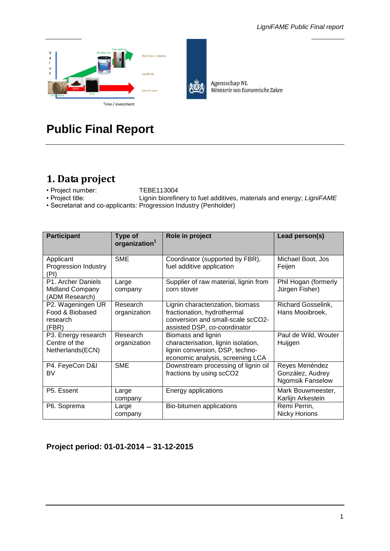



Agentschap NL Ministerie van Economische Zaken

# **Public Final Report**

# <span id="page-0-0"></span>**1. Data project**

- Project number: TEBE113004<br>• Project title: Lignin biorefin Lignin biorefinery to fuel additives, materials and energy; *LigniFAME*
- Secretariat and co-applicants: Progression Industry (Penholder)

| <b>Participant</b>                                             | <b>Type of</b><br>organization <sup>1</sup> | Role in project                                                                                                                      | Lead person(s)                                                |  |  |
|----------------------------------------------------------------|---------------------------------------------|--------------------------------------------------------------------------------------------------------------------------------------|---------------------------------------------------------------|--|--|
| Applicant<br>Progression Industry<br>(PI)                      | <b>SME</b>                                  | Coordinator (supported by FBR),<br>fuel additive application                                                                         | Michael Boot, Jos<br>Feijen                                   |  |  |
| P1. Archer Daniels<br><b>Midland Company</b><br>(ADM Research) | Large<br>company                            | Supplier of raw material, lignin from<br>corn stover                                                                                 | Phil Hogan (formerly<br>Jürgen Fisher)                        |  |  |
| P2. Wageningen UR<br>Food & Biobased<br>research<br>(FBR)      | Research<br>organization                    | Lignin characterization, biomass<br>fractionation, hydrothermal<br>conversion and small-scale scCO2-<br>assisted DSP, co-coordinator | <b>Richard Gosselink,</b><br>Hans Mooibroek,                  |  |  |
| P3. Energy research<br>Centre of the<br>Netherlands(ECN)       | Research<br>organization                    | Biomass and lignin<br>characterisation, lignin isolation,<br>lignin conversion, DSP, techno-<br>economic analysis, screening LCA     | Paul de Wild, Wouter<br>Huijgen                               |  |  |
| P4. FeyeCon D&I<br>BV                                          | <b>SME</b>                                  | Downstream processing of lignin oil<br>fractions by using scCO2                                                                      | Reyes Menéndez<br>González, Audrey<br><b>Ngomsik Fanselow</b> |  |  |
| P5. Essent                                                     | Large<br>company                            | Energy applications                                                                                                                  | Mark Bouwmeester,<br>Karlijn Arkestein                        |  |  |
| P6. Soprema                                                    | Large<br>company                            | Bio-bitumen applications                                                                                                             | Remi Perrin,<br><b>Nicky Horions</b>                          |  |  |

**Project period: 01-01-2014 – 31-12-2015**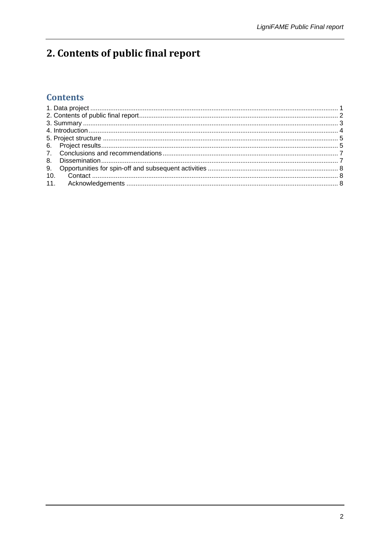# <span id="page-1-0"></span>2. Contents of public final report

# **Contents**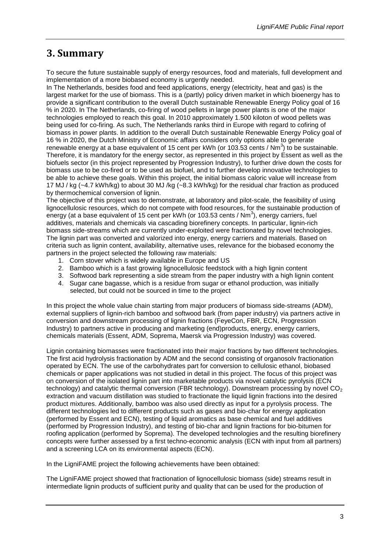### <span id="page-2-0"></span>**3. Summary**

To secure the future sustainable supply of energy resources, food and materials, full development and implementation of a more biobased economy is urgently needed.

In The Netherlands, besides food and feed applications, energy (electricity, heat and gas) is the largest market for the use of biomass. This is a (partly) policy driven market in which bioenergy has to provide a significant contribution to the overall Dutch sustainable Renewable Energy Policy goal of 16 % in 2020. In The Netherlands, co-firing of wood pellets in large power plants is one of the major technologies employed to reach this goal. In 2010 approximately 1.500 kiloton of wood pellets was being used for co-firing. As such, The Netherlands ranks third in Europe with regard to cofiring of biomass in power plants. In addition to the overall Dutch sustainable Renewable Energy Policy goal of 16 % in 2020, the Dutch Ministry of Economic affairs considers only options able to generate renewable energy at a base equivalent of 15 cent per kWh (or 103.53 cents / Nm<sup>3</sup>) to be sustainable. Therefore, it is mandatory for the energy sector, as represented in this project by Essent as well as the biofuels sector (in this project represented by Progression Industry), to further drive down the costs for biomass use to be co-fired or to be used as biofuel, and to further develop innovative technologies to be able to achieve these goals. Within this project, the initial biomass caloric value will increase from 17 MJ / kg (~4.7 kWh/kg) to about 30 MJ /kg (~8.3 kWh/kg) for the residual char fraction as produced by thermochemical conversion of lignin.

The objective of this project was to demonstrate, at laboratory and pilot-scale, the feasibility of using lignocellulosic resources, which do not compete with food resources, for the sustainable production of energy (at a base equivalent of 15 cent per kWh (or 103.53 cents /  $Nm^3$ ), energy carriers, fuel additives, materials and chemicals via cascading biorefinery concepts. In particular, lignin-rich biomass side-streams which are currently under-exploited were fractionated by novel technologies. The lignin part was converted and valorized into energy, energy carriers and materials. Based on criteria such as lignin content, availability, alternative uses, relevance for the biobased economy the partners in the project selected the following raw materials:

- 1. Corn stover which is widely available in Europe and US
- 2. Bamboo which is a fast growing lignocellulosic feedstock with a high lignin content
- 3. Softwood bark representing a side stream from the paper industry with a high lignin content
- 4. Sugar cane bagasse, which is a residue from sugar or ethanol production, was initially selected, but could not be sourced in time to the project

In this project the whole value chain starting from major producers of biomass side-streams (ADM), external suppliers of lignin-rich bamboo and softwood bark (from paper industry) via partners active in conversion and downstream processing of lignin fractions (FeyeCon, FBR, ECN, Progression Industry) to partners active in producing and marketing (end)products, energy, energy carriers, chemicals materials (Essent, ADM, Soprema, Maersk via Progression Industry) was covered.

Lignin containing biomasses were fractionated into their major fractions by two different technologies. The first acid hydrolysis fractionation by ADM and the second consisting of organosolv fractionation operated by ECN. The use of the carbohydrates part for conversion to cellulosic ethanol, biobased chemicals or paper applications was not studied in detail in this project. The focus of this project was on conversion of the isolated lignin part into marketable products via novel catalytic pyrolysis (ECN technology) and catalytic thermal conversion (FBR technology). Downstream processing by novel  $CO<sub>2</sub>$ extraction and vacuum distillation was studied to fractionate the liquid lignin fractions into the desired product mixtures. Additionally, bamboo was also used directly as input for a pyrolysis process. The different technologies led to different products such as gases and bio-char for energy application (performed by Essent and ECN), testing of liquid aromatics as base chemical and fuel additives (performed by Progression Industry), and testing of bio-char and lignin fractions for bio-bitumen for roofing application (performed by Soprema). The developed technologies and the resulting biorefinery concepts were further assessed by a first techno-economic analysis (ECN with input from all partners) and a screening LCA on its environmental aspects (ECN).

In the LigniFAME project the following achievements have been obtained:

The LigniFAME project showed that fractionation of lignocellulosic biomass (side) streams result in intermediate lignin products of sufficient purity and quality that can be used for the production of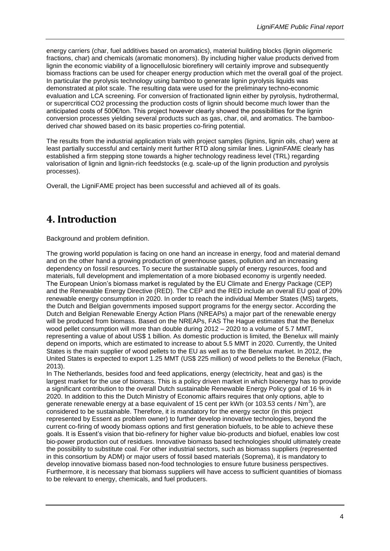energy carriers (char, fuel additives based on aromatics), material building blocks (lignin oligomeric fractions, char) and chemicals (aromatic monomers). By including higher value products derived from lignin the economic viability of a lignocellulosic biorefinery will certainly improve and subsequently biomass fractions can be used for cheaper energy production which met the overall goal of the project. In particular the pyrolysis technology using bamboo to generate lignin pyrolysis liquids was demonstrated at pilot scale. The resulting data were used for the preliminary techno-economic evaluation and LCA screening. For conversion of fractionated lignin either by pyrolysis, hydrothermal, or supercritical CO2 processing the production costs of lignin should become much lower than the anticipated costs of 500€/ton. This project however clearly showed the possibilities for the lignin conversion processes yielding several products such as gas, char, oil, and aromatics. The bambooderived char showed based on its basic properties co-firing potential.

The results from the industrial application trials with project samples (lignins, lignin oils, char) were at least partially successful and certainly merit further RTD along similar lines. LigninFAME clearly has established a firm stepping stone towards a higher technology readiness level (TRL) regarding valorisation of lignin and lignin-rich feedstocks (e.g. scale-up of the lignin production and pyrolysis processes).

Overall, the LigniFAME project has been successful and achieved all of its goals.

## <span id="page-3-0"></span>**4. Introduction**

Background and problem definition.

The growing world population is facing on one hand an increase in energy, food and material demand and on the other hand a growing production of greenhouse gases, pollution and an increasing dependency on fossil resources. To secure the sustainable supply of energy resources, food and materials, full development and implementation of a more biobased economy is urgently needed. The European Union's biomass market is regulated by the EU Climate and Energy Package (CEP) and the Renewable Energy Directive (RED). The CEP and the RED include an overall EU goal of 20% renewable energy consumption in 2020. In order to reach the individual Member States (MS) targets, the Dutch and Belgian governments imposed support programs for the energy sector. According the Dutch and Belgian Renewable Energy Action Plans (NREAPs) a major part of the renewable energy will be produced from biomass. Based on the NREAPs, FAS The Hague estimates that the Benelux wood pellet consumption will more than double during 2012 – 2020 to a volume of 5.7 MMT, representing a value of about US\$ 1 billion. As domestic production is limited, the Benelux will mainly depend on imports, which are estimated to increase to about 5.5 MMT in 2020. Currently, the United States is the main supplier of wood pellets to the EU as well as to the Benelux market. In 2012, the United States is expected to export 1.25 MMT (US\$ 225 million) of wood pellets to the Benelux (Flach, 2013).

In The Netherlands, besides food and feed applications, energy (electricity, heat and gas) is the largest market for the use of biomass. This is a policy driven market in which bioenergy has to provide a significant contribution to the overall Dutch sustainable Renewable Energy Policy goal of 16 % in 2020. In addition to this the Dutch Ministry of Economic affairs requires that only options, able to generate renewable energy at a base equivalent of 15 cent per kWh (or 103.53 cents / Nm<sup>3</sup>), are considered to be sustainable. Therefore, it is mandatory for the energy sector (in this project represented by Essent as problem owner) to further develop innovative technologies, beyond the current co-firing of woody biomass options and first generation biofuels, to be able to achieve these goals. It is Essent's vision that bio-refinery for higher value bio-products and biofuel, enables low cost bio-power production out of residues. Innovative biomass based technologies should ultimately create the possibility to substitute coal. For other industrial sectors, such as biomass suppliers (represented in this consortium by ADM) or major users of fossil based materials (Soprema), it is mandatory to develop innovative biomass based non-food technologies to ensure future business perspectives. Furthermore, it is necessary that biomass suppliers will have access to sufficient quantities of biomass to be relevant to energy, chemicals, and fuel producers.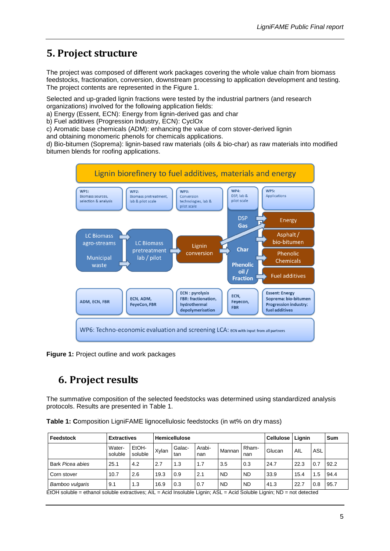# <span id="page-4-0"></span>**5. Project structure**

The project was composed of different work packages covering the whole value chain from biomass feedstocks, fractionation, conversion, downstream processing to application development and testing. The project contents are represented in the Figure 1.

Selected and up-graded lignin fractions were tested by the industrial partners (and research organizations) involved for the following application fields:

a) Energy (Essent, ECN): Energy from lignin-derived gas and char

b) Fuel additives (Progression Industry, ECN): CyclOx

c) Aromatic base chemicals (ADM): enhancing the value of corn stover-derived lignin

and obtaining monomeric phenols for chemicals applications.

d) Bio-bitumen (Soprema): lignin-based raw materials (oils & bio-char) as raw materials into modified bitumen blends for roofing applications.



<span id="page-4-1"></span>**Figure 1:** Project outline and work packages

## **6. Project results**

The summative composition of the selected feedstocks was determined using standardized analysis protocols. Results are presented in Table 1.

**Table 1: Composition LigniFAME lignocellulosic feedstocks (in wt% on dry mass)** 

| Feedstock                                                                                                             | <b>Extractives</b> |                  | <b>Hemicellulose</b> |               |               |           | <b>Cellulose</b> | Lianin |      | Sum |      |
|-----------------------------------------------------------------------------------------------------------------------|--------------------|------------------|----------------------|---------------|---------------|-----------|------------------|--------|------|-----|------|
|                                                                                                                       | Water-<br>soluble  | EtOH-<br>soluble | Xylan                | Galac-<br>tan | Arabi-<br>nan | Mannan    | Rham-<br>nan     | Glucan | AIL  | ASL |      |
| Bark Picea abies                                                                                                      | 25.1               | 4.2              | 2.7                  | 1.3           | 1.7           | 3.5       | 0.3              | 24.7   | 22.3 | 0.7 | 92.2 |
| Corn stover                                                                                                           | 10.7               | 2.6              | 19.3                 | 0.9           | 2.1           | <b>ND</b> | <b>ND</b>        | 33.9   | 15.4 | 1.5 | 94.4 |
| Bamboo vulgaris                                                                                                       | 9.1                | 1.3              | 16.9                 | 0.3           | 0.7           | <b>ND</b> | <b>ND</b>        | 41.3   | 22.7 | 0.8 | 95.7 |
| EtOH soluble = ethanol soluble extractives; AIL = Acid Insoluble Lignin; ASL = Acid Soluble Lignin; ND = not detected |                    |                  |                      |               |               |           |                  |        |      |     |      |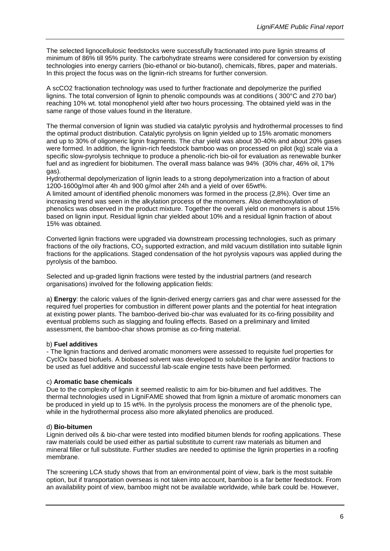The selected lignocellulosic feedstocks were successfully fractionated into pure lignin streams of minimum of 86% till 95% purity. The carbohydrate streams were considered for conversion by existing technologies into energy carriers (bio-ethanol or bio-butanol), chemicals, fibres, paper and materials. In this project the focus was on the lignin-rich streams for further conversion.

A scCO2 fractionation technology was used to further fractionate and depolymerize the purified lignins. The total conversion of lignin to phenolic compounds was at conditions ( 300°C and 270 bar) reaching 10% wt. total monophenol yield after two hours processing. The obtained yield was in the same range of those values found in the literature.

The thermal conversion of lignin was studied via catalytic pyrolysis and hydrothermal processes to find the optimal product distribution. Catalytic pyrolysis on lignin yielded up to 15% aromatic monomers and up to 30% of oligomeric lignin fragments. The char yield was about 30-40% and about 20% gases were formed. In addition, the lignin-rich feedstock bamboo was on processed on pilot (kg) scale via a specific slow-pyrolysis technique to produce a phenolic-rich bio-oil for evaluation as renewable bunker fuel and as ingredient for biobitumen. The overall mass balance was 94% (30% char, 46% oil, 17% gas).

Hydrothermal depolymerization of lignin leads to a strong depolymerization into a fraction of about 1200-1600g/mol after 4h and 900 g/mol after 24h and a yield of over 65wt%.

A limited amount of identified phenolic monomers was formed in the process (2,8%). Over time an increasing trend was seen in the alkylation process of the monomers. Also demethoxylation of phenolics was observed in the product mixture. Together the overall yield on monomers is about 15% based on lignin input. Residual lignin char yielded about 10% and a residual lignin fraction of about 15% was obtained.

Converted lignin fractions were upgraded via downstream processing technologies, such as primary fractions of the oily fractions,  $CO<sub>2</sub>$  supported extraction, and mild vacuum distillation into suitable lignin fractions for the applications. Staged condensation of the hot pyrolysis vapours was applied during the pyrolysis of the bamboo.

Selected and up-graded lignin fractions were tested by the industrial partners (and research organisations) involved for the following application fields:

a) **Energy**: the caloric values of the lignin-derived energy carriers gas and char were assessed for the required fuel properties for combustion in different power plants and the potential for heat integration at existing power plants. The bamboo-derived bio-char was evaluated for its co-firing possibility and eventual problems such as slagging and fouling effects. Based on a preliminary and limited assessment, the bamboo-char shows promise as co-firing material.

#### b) **Fuel additives**

- The lignin fractions and derived aromatic monomers were assessed to requisite fuel properties for CyclOx based biofuels. A biobased solvent was developed to solubilize the lignin and/or fractions to be used as fuel additive and successful lab-scale engine tests have been performed.

#### c) **Aromatic base chemicals**

Due to the complexity of lignin it seemed realistic to aim for bio-bitumen and fuel additives. The thermal technologies used in LigniFAME showed that from lignin a mixture of aromatic monomers can be produced in yield up to 15 wt%. In the pyrolysis process the monomers are of the phenolic type, while in the hydrothermal process also more alkylated phenolics are produced.

#### d) **Bio-bitumen**

Lignin derived oils & bio-char were tested into modified bitumen blends for roofing applications. These raw materials could be used either as partial substitute to current raw materials as bitumen and mineral filler or full substitute. Further studies are needed to optimise the lignin properties in a roofing membrane.

The screening LCA study shows that from an environmental point of view, bark is the most suitable option, but if transportation overseas is not taken into account, bamboo is a far better feedstock. From an availability point of view, bamboo might not be available worldwide, while bark could be. However,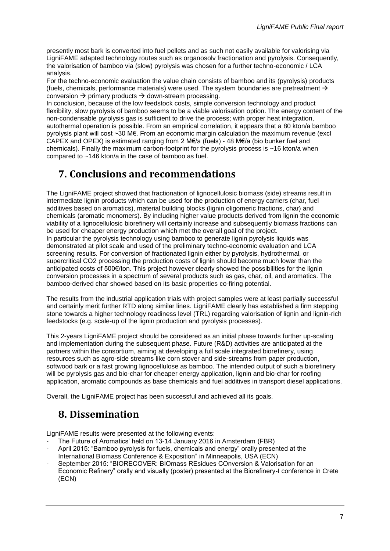presently most bark is converted into fuel pellets and as such not easily available for valorising via LigniFAME adapted technology routes such as organosolv fractionation and pyrolysis. Consequently, the valorisation of bamboo via (slow) pyrolysis was chosen for a further techno-economic / LCA analysis.

For the techno-economic evaluation the value chain consists of bamboo and its (pyrolysis) products (fuels, chemicals, performance materials) were used. The system boundaries are pretreatment  $\rightarrow$ conversion  $\rightarrow$  primary products  $\rightarrow$  down-stream processing.

In conclusion, because of the low feedstock costs, simple conversion technology and product flexibility, slow pyrolysis of bamboo seems to be a viable valorisation option. The energy content of the non-condensable pyrolysis gas is sufficient to drive the process; with proper heat integration, autothermal operation is possible. From an empirical correlation, it appears that a 80 kton/a bamboo pyrolysis plant will cost ~30 M€. From an economic margin calculation the maximum revenue (excl CAPEX and OPEX) is estimated ranging from 2 M€/a (fuels) - 48 M€/a (bio bunker fuel and chemicals). Finally the maximum carbon-footprint for the pyrolysis process is ~16 kton/a when compared to ~146 kton/a in the case of bamboo as fuel.

# <span id="page-6-0"></span>**7. Conclusions and recommendations**

The LigniFAME project showed that fractionation of lignocellulosic biomass (side) streams result in intermediate lignin products which can be used for the production of energy carriers (char, fuel additives based on aromatics), material building blocks (lignin oligomeric fractions, char) and chemicals (aromatic monomers). By including higher value products derived from lignin the economic viability of a lignocellulosic biorefinery will certainly increase and subsequently biomass fractions can be used for cheaper energy production which met the overall goal of the project. In particular the pyrolysis technology using bamboo to generate lignin pyrolysis liquids was demonstrated at pilot scale and used of the preliminary techno-economic evaluation and LCA screening results. For conversion of fractionated lignin either by pyrolysis, hydrothermal, or supercritical CO2 processing the production costs of lignin should become much lower than the anticipated costs of 500€/ton. This project however clearly showed the possibilities for the lignin conversion processes in a spectrum of several products such as gas, char, oil, and aromatics. The bamboo-derived char showed based on its basic properties co-firing potential.

The results from the industrial application trials with project samples were at least partially successful and certainly merit further RTD along similar lines. LigniFAME clearly has established a firm stepping stone towards a higher technology readiness level (TRL) regarding valorisation of lignin and lignin-rich feedstocks (e.g. scale-up of the lignin production and pyrolysis processes).

This 2-years LigniFAME project should be considered as an initial phase towards further up-scaling and implementation during the subsequent phase. Future (R&D) activities are anticipated at the partners within the consortium, aiming at developing a full scale integrated biorefinery, using resources such as agro-side streams like corn stover and side-streams from paper production, softwood bark or a fast growing lignocellulose as bamboo. The intended output of such a biorefinery will be pyrolysis gas and bio-char for cheaper energy application, lignin and bio-char for roofing application, aromatic compounds as base chemicals and fuel additives in transport diesel applications.

<span id="page-6-1"></span>Overall, the LigniFAME project has been successful and achieved all its goals.

# **8. Dissemination**

LigniFAME results were presented at the following events:

- The Future of Aromatics' held on 13-14 January 2016 in Amsterdam (FBR)
- April 2015: "Bamboo pyrolysis for fuels, chemicals and energy" orally presented at the International Biomass Conference & Exposition" in Minneapolis, USA (ECN)
- September 2015: "BIORECOVER: BIOmass REsidues COnversion & Valorisation for an Economic Refinery" orally and visually (poster) presented at the Biorefinery-I conference in Crete (ECN)